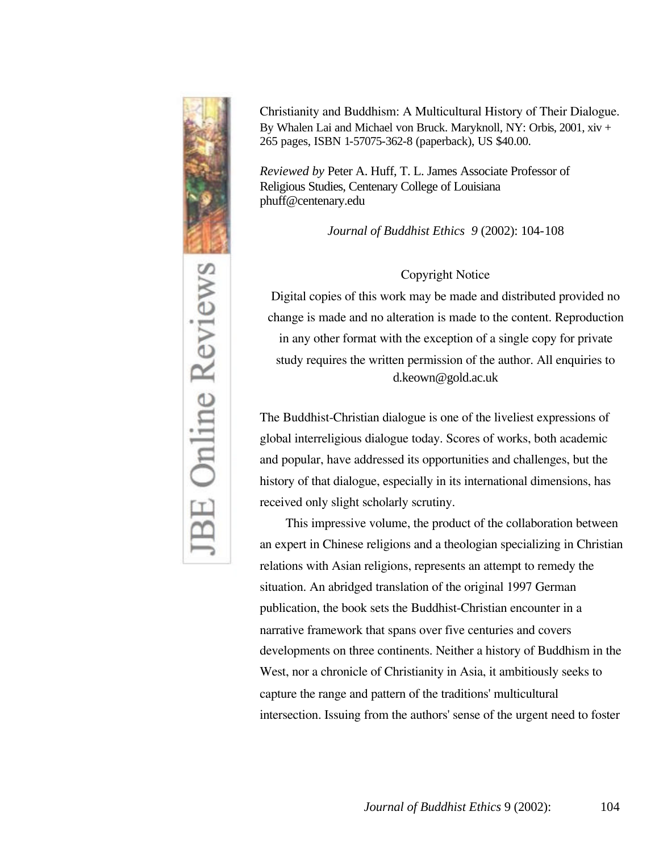

*Christianity and Buddhism: A Multicultural History of Their Dialogue.*  By Whalen Lai and Michael von Bruck. Maryknoll, NY: Orbis, 2001, xiv + 265 pages, ISBN 1-57075-362-8 (paperback), US \$40.00.

*Reviewed by* Peter A. Huff, T. L. James Associate Professor of Religious Studies, Centenary College of Louisiana phuff@centenary.edu

*Journal of Buddhist Ethics 9* (2002): 104-108

## *Copyright Notice*

*Digital copies of this work may be made and distributed provided no change is made and no alteration is made to the content. Reproduction in any other format with the exception of a single copy for private study requires the written permission of the author. All enquiries to*  d.keown@gold.ac.uk

*The Buddhist-Christian dialogue is one of the liveliest expressions of global interreligious dialogue today. Scores of works, both academic and popular, have addressed its opportunities and challenges, but the history of that dialogue, especially in its international dimensions, has received only slight scholarly scrutiny.* 

*This impressive volume, the product of the collaboration between an expert in Chinese religions and a theologian specializing in Christian*  relations with Asian religions, represents an attempt to remedy the *situation. An abridged translation of the original 1997 German publication, the book sets the Buddhist-Christian encounter in a narrative framework that spans over five centuries and covers developments on three continents. Neither a history of Buddhism in the West, nor a chronicle of Christianity in Asia, it ambitiously seeks to capture the range and pattern of the traditions' multicultural intersection. Issuing from the authors' sense of the urgent need to foster*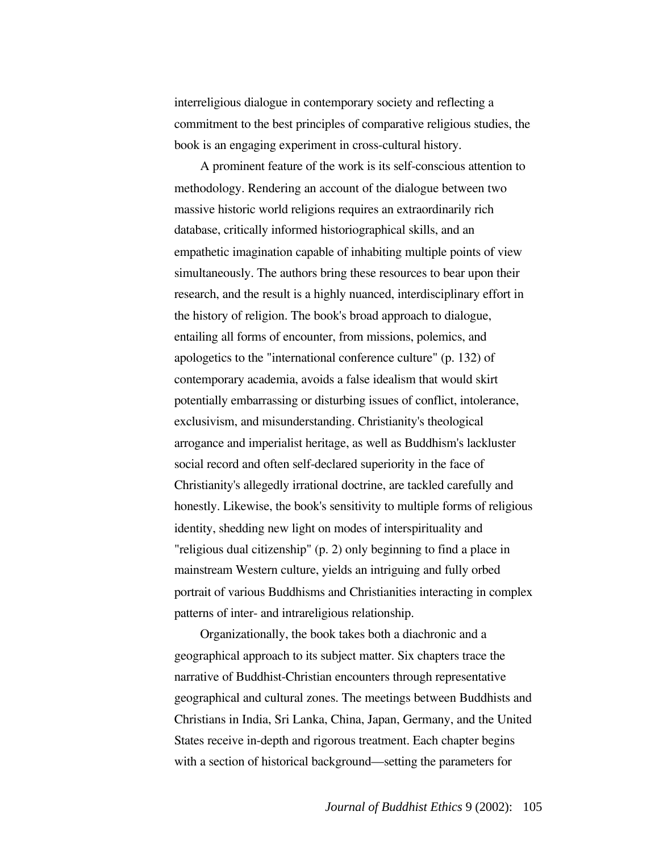*interreligious dialogue in contemporary society and reflecting a commitment to the best principles of comparative religious studies, the book is an engaging experiment in cross-cultural history.*

*A prominent feature of the work is its self-conscious attention to methodology. Rendering an account of the dialogue between two massive historic world religions requires an extraordinarily rich database, critically informed historiographical skills, and an empathetic imagination capable of inhabiting multiple points of view simultaneously. The authors bring these resources to bear upon their*  research, and the result is a highly nuanced, interdisciplinary effort in *the history of religion. The book's broad approach to dialogue, entailing all forms of encounter, from missions, polemics, and apologetics to the "international conference culture" (p. 132) of contemporary academia, avoids a false idealism that would skirt potentially embarrassing or disturbing issues of conflict, intolerance, exclusivism, and misunderstanding. Christianity's theological arrogance and imperialist heritage, as well as Buddhism's lackluster social record and often self-declared superiority in the face of Christianity's allegedly irrational doctrine, are tackled carefully and honestly. Likewise, the book's sensitivity to multiple forms of religious identity, shedding new light on modes of interspirituality and "religious dual citizenship" (p. 2) only beginning to find a place in mainstream Western culture, yields an intriguing and fully orbed portrait of various Buddhisms and Christianities interacting in complex patterns of inter- and intrareligious relationship.*

*Organizationally, the book takes both a diachronic and a geographical approach to its subject matter. Six chapters trace the narrative of Buddhist-Christian encounters through representative geographical and cultural zones. The meetings between Buddhists and Christians in India, Sri Lanka, China, Japan, Germany, and the United States receive in-depth and rigorous treatment. Each chapter begins with a section of historical background—setting the parameters for*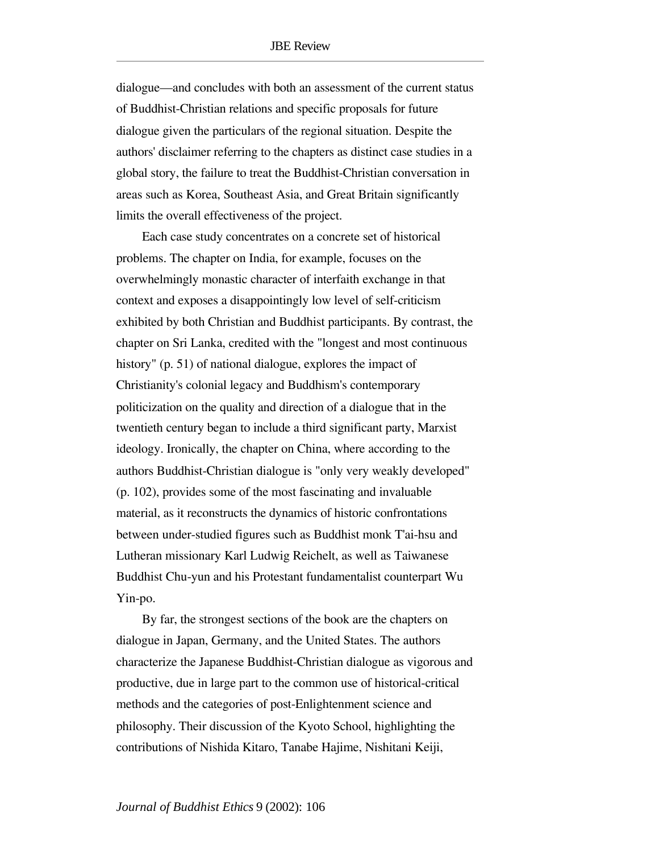*dialogue—and concludes with both an assessment of the current status of Buddhist-Christian relations and specific proposals for future dialogue given the particulars of the regional situation. Despite the authors' disclaimer referring to the chapters as distinct case studies in a global story, the failure to treat the Buddhist-Christian conversation in areas such as Korea, Southeast Asia, and Great Britain significantly limits the overall effectiveness of the project.*

*Each case study concentrates on a concrete set of historical problems. The chapter on India, for example, focuses on the overwhelmingly monastic character of interfaith exchange in that context and exposes a disappointingly low level of self-criticism exhibited by both Christian and Buddhist participants. By contrast, the chapter on Sri Lanka, credited with the "longest and most continuous history" (p. 51) of national dialogue, explores the impact of Christianity's colonial legacy and Buddhism's contemporary politicization on the quality and direction of a dialogue that in the twentieth century began to include a third significant party, Marxist ideology. Ironically, the chapter on China, where according to the authors Buddhist-Christian dialogue is "only very weakly developed" (p. 102), provides some of the most fascinating and invaluable material, as it reconstructs the dynamics of historic confrontations between under-studied figures such as Buddhist monk T'ai-hsu and Lutheran missionary Karl Ludwig Reichelt, as well as Taiwanese Buddhist Chu-yun and his Protestant fundamentalist counterpart Wu Yin-po.*

*By far, the strongest sections of the book are the chapters on dialogue in Japan, Germany, and the United States. The authors characterize the Japanese Buddhist-Christian dialogue as vigorous and productive, due in large part to the common use of historical-critical methods and the categories of post-Enlightenment science and philosophy. Their discussion of the Kyoto School, highlighting the contributions of Nishida Kitaro, Tanabe Hajime, Nishitani Keiji,*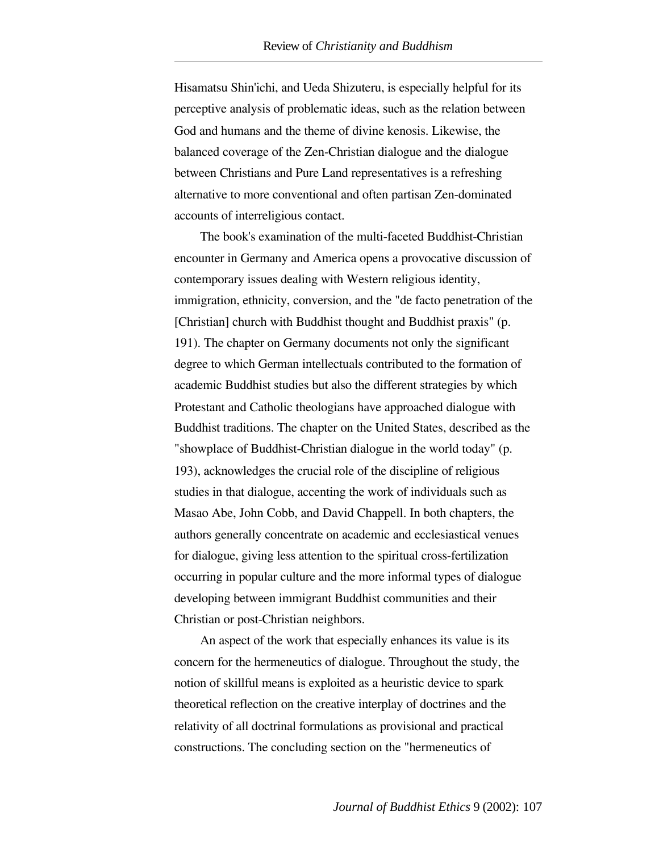*Hisamatsu Shin'ichi, and Ueda Shizuteru, is especially helpful for its perceptive analysis of problematic ideas, such as the relation between God and humans and the theme of divine kenosis. Likewise, the balanced coverage of the Zen-Christian dialogue and the dialogue between Christians and Pure Land representatives is a refreshing alternative to more conventional and often partisan Zen-dominated accounts of interreligious contact.* 

*The book's examination of the multi-faceted Buddhist-Christian encounter in Germany and America opens a provocative discussion of contemporary issues dealing with Western religious identity, immigration, ethnicity, conversion, and the "de facto penetration of the [Christian] church with Buddhist thought and Buddhist praxis" (p. 191). The chapter on Germany documents not only the significant degree to which German intellectuals contributed to the formation of academic Buddhist studies but also the different strategies by which Protestant and Catholic theologians have approached dialogue with Buddhist traditions. The chapter on the United States, described as the "showplace of Buddhist-Christian dialogue in the world today" (p. 193), acknowledges the crucial role of the discipline of religious studies in that dialogue, accenting the work of individuals such as Masao Abe, John Cobb, and David Chappell. In both chapters, the authors generally concentrate on academic and ecclesiastical venues for dialogue, giving less attention to the spiritual cross-fertilization occurring in popular culture and the more informal types of dialogue developing between immigrant Buddhist communities and their Christian or post-Christian neighbors.* 

*An aspect of the work that especially enhances its value is its concern for the hermeneutics of dialogue. Throughout the study, the notion of skillful means is exploited as a heuristic device to spark theoretical reflection on the creative interplay of doctrines and the relativity of all doctrinal formulations as provisional and practical constructions. The concluding section on the "hermeneutics of*